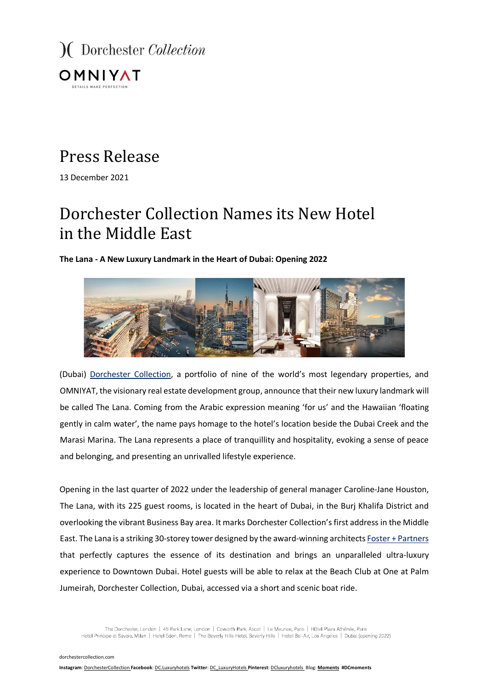

## Press Release

13 December 2021

# Dorchester Collection Names its New Hotel in the Middle East

### **The Lana - A New Luxury Landmark in the Heart of Dubai: Opening 2022**



(Dubai) Dorchester Collection, a portfolio of nine of the world's most legendary properties, and OMNIYAT, the visionary real estate development group, announce that their new luxury landmark will be called The Lana. Coming from the Arabic expression meaning 'for us' and the Hawaiian 'floating gently in calm water', the name pays homage to the hotel's location beside the Dubai Creek and the Marasi Marina. The Lana represents a place of tranquillity and hospitality, evoking a sense of peace and belonging, and presenting an unrivalled lifestyle experience.

Opening in the last quarter of 2022 under the leadership of general manager Caroline-Jane Houston, The Lana, with its 225 guest rooms, is located in the heart of Dubai, in the Burj Khalifa District and overlooking the vibrant Business Bay area. It marks Dorchester Collection's first address in the Middle East. The Lana is a striking 30-storey tower designed by the award-winning architects Foster + Partners that perfectly captures the essence of its destination and brings an unparalleled ultra-luxury experience to Downtown Dubai. Hotel guests will be able to relax at the Beach Club at One at Palm Jumeirah, Dorchester Collection, Dubai, accessed via a short and scenic boat ride.

The Dorchester, London | 45 Park Lane, London | Coworth Park, Ascot | Le Meurice, Paris | Hôtel Plaza Athénée, Paris Hotel Principe di Savoia, Milan | Hotel Eden, Rome | The Beverly Hills Hotel, Beverly Hills | Hotel Bel-Air, Los Angeles | Dubai (opening 2022)

dorchestercollection.com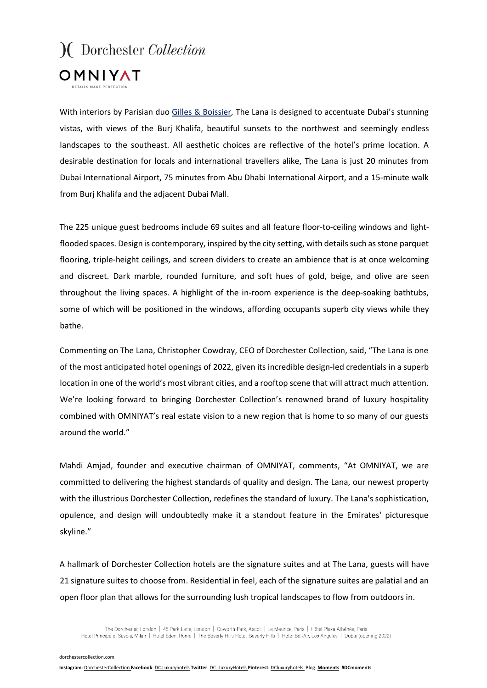

With interiors by Parisian duo Gilles & Boissier, The Lana is designed to accentuate Dubai's stunning vistas, with views of the Burj Khalifa, beautiful sunsets to the northwest and seemingly endless landscapes to the southeast. All aesthetic choices are reflective of the hotel's prime location. A desirable destination for locals and international travellers alike, The Lana is just 20 minutes from Dubai International Airport, 75 minutes from Abu Dhabi International Airport, and a 15-minute walk from Burj Khalifa and the adjacent Dubai Mall.

The 225 unique guest bedrooms include 69 suites and all feature floor-to-ceiling windows and lightflooded spaces. Design is contemporary, inspired by the city setting, with details such as stone parquet flooring, triple-height ceilings, and screen dividers to create an ambience that is at once welcoming and discreet. Dark marble, rounded furniture, and soft hues of gold, beige, and olive are seen throughout the living spaces. A highlight of the in-room experience is the deep-soaking bathtubs, some of which will be positioned in the windows, affording occupants superb city views while they bathe.

Commenting on The Lana, Christopher Cowdray, CEO of Dorchester Collection, said, "The Lana is one of the most anticipated hotel openings of 2022, given its incredible design-led credentials in a superb location in one of the world's most vibrant cities, and a rooftop scene that will attract much attention. We're looking forward to bringing Dorchester Collection's renowned brand of luxury hospitality combined with OMNIYAT's real estate vision to a new region that is home to so many of our guests around the world."

Mahdi Amjad, founder and executive chairman of OMNIYAT, comments, "At OMNIYAT, we are committed to delivering the highest standards of quality and design. The Lana, our newest property with the illustrious Dorchester Collection, redefines the standard of luxury. The Lana's sophistication, opulence, and design will undoubtedly make it a standout feature in the Emirates' picturesque skyline."

A hallmark of Dorchester Collection hotels are the signature suites and at The Lana, guests will have 21 signature suites to choose from. Residential in feel, each of the signature suites are palatial and an open floor plan that allows for the surrounding lush tropical landscapes to flow from outdoors in.

The Dorchester, London | 45 Park Lane, London | Coworth Park, Ascot | Le Meurice, Paris | Hôtel Plaza Athénée, Paris Hotel Principe di Savoia, Milan | Hotel Eden, Rome | The Beverly Hills Hotel, Beverly Hills | Hotel Bel-Air, Los Angeles | Dubai (opening 2022)

dorchestercollection.com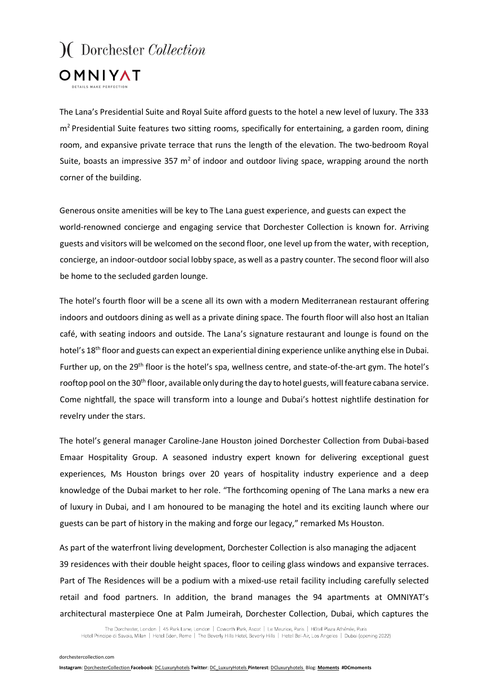

The Lana's Presidential Suite and Royal Suite afford guests to the hotel a new level of luxury. The 333 m<sup>2</sup> Presidential Suite features two sitting rooms, specifically for entertaining, a garden room, dining room, and expansive private terrace that runs the length of the elevation. The two-bedroom Royal Suite, boasts an impressive 357  $m<sup>2</sup>$  of indoor and outdoor living space, wrapping around the north corner of the building.

Generous onsite amenities will be key to The Lana guest experience, and guests can expect the world-renowned concierge and engaging service that Dorchester Collection is known for. Arriving guests and visitors will be welcomed on the second floor, one level up from the water, with reception, concierge, an indoor-outdoor social lobby space, as well as a pastry counter. The second floor will also be home to the secluded garden lounge.

The hotel's fourth floor will be a scene all its own with a modern Mediterranean restaurant offering indoors and outdoors dining as well as a private dining space. The fourth floor will also host an Italian café, with seating indoors and outside. The Lana's signature restaurant and lounge is found on the hotel's 18<sup>th</sup> floor and guests can expect an experiential dining experience unlike anything else in Dubai. Further up, on the 29<sup>th</sup> floor is the hotel's spa, wellness centre, and state-of-the-art gym. The hotel's rooftop pool on the 30<sup>th</sup> floor, available only during the day to hotel guests, will feature cabana service. Come nightfall, the space will transform into a lounge and Dubai's hottest nightlife destination for revelry under the stars.

The hotel's general manager Caroline-Jane Houston joined Dorchester Collection from Dubai-based Emaar Hospitality Group. A seasoned industry expert known for delivering exceptional guest experiences, Ms Houston brings over 20 years of hospitality industry experience and a deep knowledge of the Dubai market to her role. "The forthcoming opening of The Lana marks a new era of luxury in Dubai, and I am honoured to be managing the hotel and its exciting launch where our guests can be part of history in the making and forge our legacy," remarked Ms Houston.

As part of the waterfront living development, Dorchester Collection is also managing the adjacent 39 residences with their double height spaces, floor to ceiling glass windows and expansive terraces. Part of The Residences will be a podium with a mixed-use retail facility including carefully selected retail and food partners. In addition, the brand manages the 94 apartments at OMNIYAT's architectural masterpiece One at Palm Jumeirah, Dorchester Collection, Dubai, which captures the

The Dorchester, London | 45 Park Lane, London | Coworth Park, Ascot | Le Meurice, Paris | Hôtel Plaza Athénée, Paris Hotel Principe di Savoia, Milan | Hotel Eden, Rome | The Beverly Hills Hotel, Beverly Hills | Hotel Bel-Air, Los Angeles | Dubai (opening 2022)

dorchestercollection.com